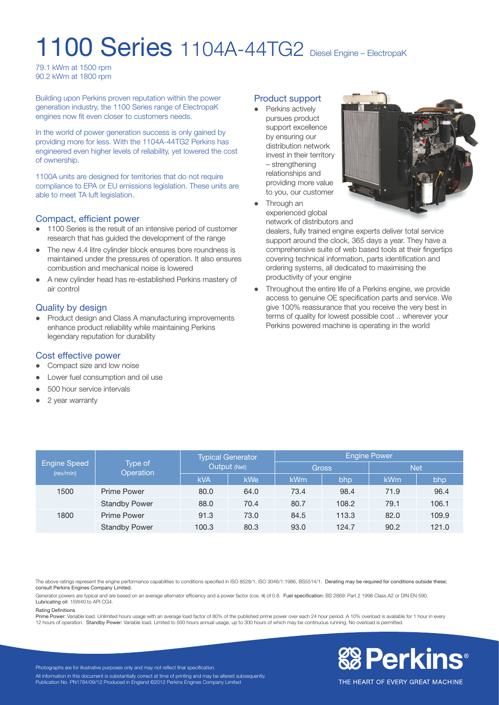# 1100 Series 1104A-44TG2 Diesel Engine – ElectropaK

79.1 kWm at 1500 rpm 90.2 kWm at 1800 rpm

Building upon Perkins proven reputation within the power generation industry, the 1100 Series range of ElectropaK engines now fit even closer to customers needs.

In the world of power generation success is only gained by providing more for less. With the 1104A-44TG2 Perkins has engineered even higher levels of reliability, yet lowered the cost of ownership.

1100A units are designed for territories that do not require compliance to EPA or EU emissions legislation. These units are able to meet TA luft legislation.

# Compact, efficient power

- 1100 Series is the result of an intensive period of customer research that has guided the development of the range
- The new 4.4 litre cylinder block ensures bore roundness is maintained under the pressures of operation. It also ensures combustion and mechanical noise is lowered
- A new cylinder head has re-established Perkins mastery of air control

# Quality by design

Product design and Class A manufacturing improvements enhance product reliability while maintaining Perkins legendary reputation for durability

# Cost effective power

- Compact size and low noise
- Lower fuel consumption and oil use
- 500 hour service intervals
- $\bullet$  2 year warranty

#### Product support

• Perkins actively pursues product support excellence by ensuring our distribution network invest in their territory – strengthening relationships and providing more value to you, our customer



• Through an experienced global

network of distributors and

dealers, fully trained engine experts deliver total service support around the clock, 365 days a year. They have a comprehensive suite of web based tools at their fingertips covering technical information, parts identification and ordering systems, all dedicated to maximising the productivity of your engine

Throughout the entire life of a Perkins engine, we provide access to genuine OE specification parts and service. We give 100% reassurance that you receive the very best in terms of quality for lowest possible cost .. wherever your Perkins powered machine is operating in the world

| Engine Speed<br>(rev/min) | Type of<br>Operation | <b>Typical Generator</b><br>Output (Net) |      | <b>Engine Power</b> |       |            |       |
|---------------------------|----------------------|------------------------------------------|------|---------------------|-------|------------|-------|
|                           |                      |                                          |      | <b>Gross</b>        |       | <b>Net</b> |       |
|                           |                      | <b>kVA</b>                               | kWe  | kWm                 | bhp   | <b>kWm</b> | bhp   |
| 1500                      | Prime Power          | 80.0                                     | 64.0 | 73.4                | 98.4  | 71.9       | 96.4  |
|                           | <b>Standby Power</b> | 88.0                                     | 70.4 | 80.7                | 108.2 | 79.1       | 106.1 |
| 1800                      | Prime Power          | 91.3                                     | 73.0 | 84.5                | 113.3 | 82.0       | 109.9 |
|                           | <b>Standby Power</b> | 100.3                                    | 80.3 | 93.0                | 124.7 | 90.2       | 121.0 |

The above ratings represent the engine performance capabilities to conditions specified in ISO 8528/1, ISO 3046/1:1986, BS5514/1. Derating may be required for conditions outside these; consult Perkins Engines Company Limited.

Generator powers are typical and are based on an average alternator efficiency and a power factor (cos.  $\theta$ ) of 0.8. Fuel specification: BS 2869: Part 2 1998 Class A2 or DIN EN 590. Lubricating oil: 15W40 to API CG4.

#### Rating Definitions

Prime Power: Variable load. Unlimited hours usage with an average load factor of 80% of the published prime power over each 24 hour period. A 10% overload is available for 1 hour in every<br>12 hours of operation. Standby Pow



Photographs are for illustrative purposes only and may not reflect final specification. All information in this document is substantially correct at time of printing and may be altered subsequently Publication No. PN1784/09/12 Produced in England ©2012 Perkins Engines Company Limited